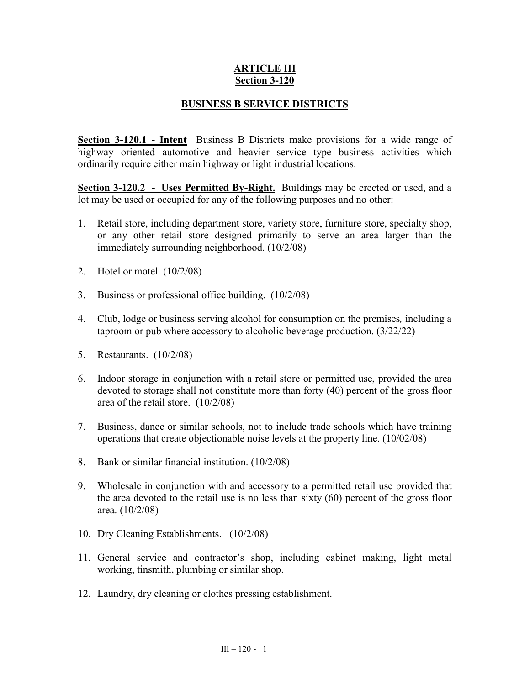## **ARTICLE III Section 3-120**

## **BUSINESS B SERVICE DISTRICTS**

**Section 3-120.1 - Intent** Business B Districts make provisions for a wide range of highway oriented automotive and heavier service type business activities which ordinarily require either main highway or light industrial locations.

**Section 3-120.2 - Uses Permitted By-Right.** Buildings may be erected or used, and a lot may be used or occupied for any of the following purposes and no other:

- 1. Retail store, including department store, variety store, furniture store, specialty shop, or any other retail store designed primarily to serve an area larger than the immediately surrounding neighborhood. (10/2/08)
- 2. Hotel or motel. (10/2/08)
- 3. Business or professional office building. (10/2/08)
- 4. Club, lodge or business serving alcohol for consumption on the premises*,* including a taproom or pub where accessory to alcoholic beverage production. (3/22/22)
- 5. Restaurants. (10/2/08)
- 6. Indoor storage in conjunction with a retail store or permitted use, provided the area devoted to storage shall not constitute more than forty (40) percent of the gross floor area of the retail store. (10/2/08)
- 7. Business, dance or similar schools, not to include trade schools which have training operations that create objectionable noise levels at the property line. (10/02/08)
- 8. Bank or similar financial institution. (10/2/08)
- 9. Wholesale in conjunction with and accessory to a permitted retail use provided that the area devoted to the retail use is no less than sixty (60) percent of the gross floor area. (10/2/08)
- 10. Dry Cleaning Establishments. (10/2/08)
- 11. General service and contractor's shop, including cabinet making, light metal working, tinsmith, plumbing or similar shop.
- 12. Laundry, dry cleaning or clothes pressing establishment.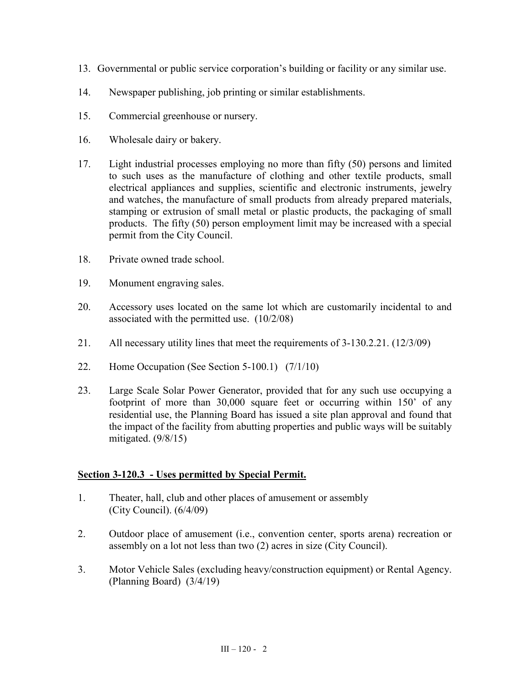- 13. Governmental or public service corporation's building or facility or any similar use.
- 14. Newspaper publishing, job printing or similar establishments.
- 15. Commercial greenhouse or nursery.
- 16. Wholesale dairy or bakery.
- 17. Light industrial processes employing no more than fifty (50) persons and limited to such uses as the manufacture of clothing and other textile products, small electrical appliances and supplies, scientific and electronic instruments, jewelry and watches, the manufacture of small products from already prepared materials, stamping or extrusion of small metal or plastic products, the packaging of small products. The fifty (50) person employment limit may be increased with a special permit from the City Council.
- 18. Private owned trade school.
- 19. Monument engraving sales.
- 20. Accessory uses located on the same lot which are customarily incidental to and associated with the permitted use. (10/2/08)
- 21. All necessary utility lines that meet the requirements of 3-130.2.21. (12/3/09)
- 22. Home Occupation (See Section 5-100.1) (7/1/10)
- 23. Large Scale Solar Power Generator, provided that for any such use occupying a footprint of more than 30,000 square feet or occurring within 150' of any residential use, the Planning Board has issued a site plan approval and found that the impact of the facility from abutting properties and public ways will be suitably mitigated.  $(9/8/15)$

## **Section 3-120.3 - Uses permitted by Special Permit.**

- 1. Theater, hall, club and other places of amusement or assembly (City Council). (6/4/09)
- 2. Outdoor place of amusement (i.e., convention center, sports arena) recreation or assembly on a lot not less than two (2) acres in size (City Council).
- 3. Motor Vehicle Sales (excluding heavy/construction equipment) or Rental Agency. (Planning Board) (3/4/19)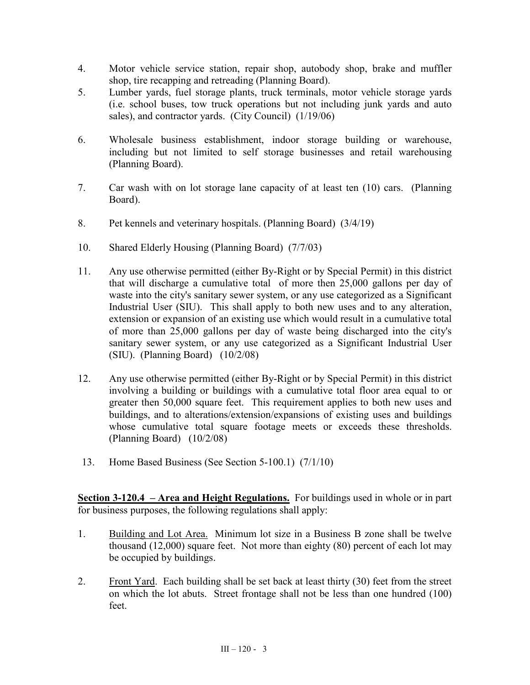- 4. Motor vehicle service station, repair shop, autobody shop, brake and muffler shop, tire recapping and retreading (Planning Board).
- 5. Lumber yards, fuel storage plants, truck terminals, motor vehicle storage yards (i.e. school buses, tow truck operations but not including junk yards and auto sales), and contractor yards. (City Council) (1/19/06)
- 6. Wholesale business establishment, indoor storage building or warehouse, including but not limited to self storage businesses and retail warehousing (Planning Board).
- 7. Car wash with on lot storage lane capacity of at least ten (10) cars. (Planning Board).
- 8. Pet kennels and veterinary hospitals. (Planning Board) (3/4/19)
- 10. Shared Elderly Housing (Planning Board) (7/7/03)
- 11. Any use otherwise permitted (either By-Right or by Special Permit) in this district that will discharge a cumulative total of more then 25,000 gallons per day of waste into the city's sanitary sewer system, or any use categorized as a Significant Industrial User (SIU). This shall apply to both new uses and to any alteration, extension or expansion of an existing use which would result in a cumulative total of more than 25,000 gallons per day of waste being discharged into the city's sanitary sewer system, or any use categorized as a Significant Industrial User (SIU). (Planning Board) (10/2/08)
- 12. Any use otherwise permitted (either By-Right or by Special Permit) in this district involving a building or buildings with a cumulative total floor area equal to or greater then 50,000 square feet. This requirement applies to both new uses and buildings, and to alterations/extension/expansions of existing uses and buildings whose cumulative total square footage meets or exceeds these thresholds. (Planning Board) (10/2/08)
- 13. Home Based Business (See Section 5-100.1) (7/1/10)

**Section 3-120.4 – Area and Height Regulations.** For buildings used in whole or in part for business purposes, the following regulations shall apply:

- 1. Building and Lot Area. Minimum lot size in a Business B zone shall be twelve thousand (12,000) square feet. Not more than eighty (80) percent of each lot may be occupied by buildings.
- 2. Front Yard. Each building shall be set back at least thirty (30) feet from the street on which the lot abuts. Street frontage shall not be less than one hundred (100) feet.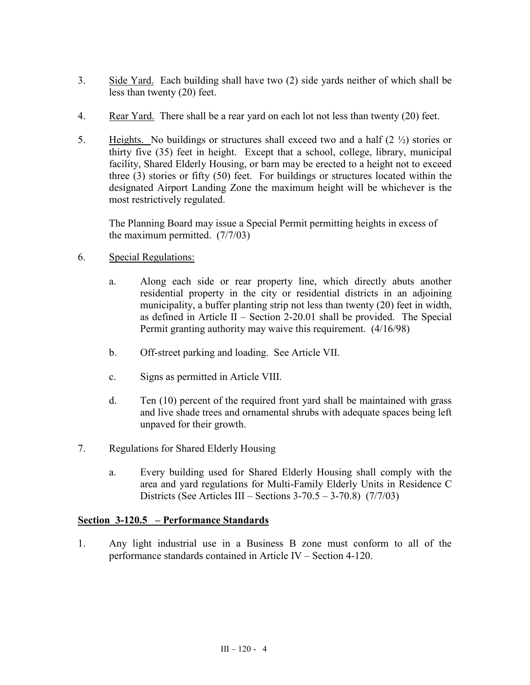- 3. Side Yard. Each building shall have two (2) side yards neither of which shall be less than twenty (20) feet.
- 4. Rear Yard. There shall be a rear yard on each lot not less than twenty (20) feet.
- 5. Heights. No buildings or structures shall exceed two and a half  $(2 \frac{1}{2})$  stories or thirty five (35) feet in height. Except that a school, college, library, municipal facility, Shared Elderly Housing, or barn may be erected to a height not to exceed three (3) stories or fifty (50) feet. For buildings or structures located within the designated Airport Landing Zone the maximum height will be whichever is the most restrictively regulated.

The Planning Board may issue a Special Permit permitting heights in excess of the maximum permitted. (7/7/03)

- 6. Special Regulations:
	- a. Along each side or rear property line, which directly abuts another residential property in the city or residential districts in an adjoining municipality, a buffer planting strip not less than twenty (20) feet in width, as defined in Article II – Section 2-20.01 shall be provided. The Special Permit granting authority may waive this requirement. (4/16/98)
	- b. Off-street parking and loading. See Article VII.
	- c. Signs as permitted in Article VIII.
	- d. Ten (10) percent of the required front yard shall be maintained with grass and live shade trees and ornamental shrubs with adequate spaces being left unpaved for their growth.
- 7. Regulations for Shared Elderly Housing
	- a. Every building used for Shared Elderly Housing shall comply with the area and yard regulations for Multi-Family Elderly Units in Residence C Districts (See Articles III – Sections  $3-70.5 - 3-70.8$ ) (7/7/03)

## **Section 3-120.5 – Performance Standards**

1. Any light industrial use in a Business B zone must conform to all of the performance standards contained in Article IV – Section 4-120.